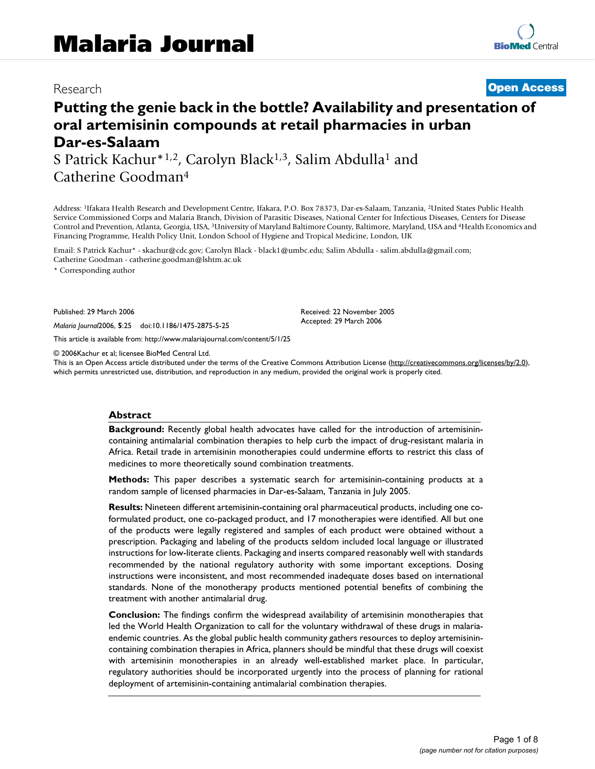# Research **[Open Access](http://www.biomedcentral.com/info/about/charter/)**

# **Putting the genie back in the bottle? Availability and presentation of oral artemisinin compounds at retail pharmacies in urban Dar-es-Salaam**

S Patrick Kachur\*1,2, Carolyn Black1,3, Salim Abdulla1 and Catherine Goodman4

Address: 1Ifakara Health Research and Development Centre, Ifakara, P.O. Box 78373, Dar-es-Salaam, Tanzania, 2United States Public Health Service Commissioned Corps and Malaria Branch, Division of Parasitic Diseases, National Center for Infectious Diseases, Centers for Disease Control and Prevention, Atlanta, Georgia, USA, 3University of Maryland Baltimore County, Baltimore, Maryland, USA and 4Health Economics and Financing Programme, Health Policy Unit, London School of Hygiene and Tropical Medicine, London, UK

Email: S Patrick Kachur\* - skachur@cdc.gov; Carolyn Black - black1@umbc.edu; Salim Abdulla - salim.abdulla@gmail.com; Catherine Goodman - catherine.goodman@lshtm.ac.uk

\* Corresponding author

Published: 29 March 2006

*Malaria Journal*2006, **5**:25 doi:10.1186/1475-2875-5-25

[This article is available from: http://www.malariajournal.com/content/5/1/25](http://www.malariajournal.com/content/5/1/25)

© 2006Kachur et al; licensee BioMed Central Ltd.

This is an Open Access article distributed under the terms of the Creative Commons Attribution License [\(http://creativecommons.org/licenses/by/2.0\)](http://creativecommons.org/licenses/by/2.0), which permits unrestricted use, distribution, and reproduction in any medium, provided the original work is properly cited.

Received: 22 November 2005 Accepted: 29 March 2006

#### **Abstract**

**Background:** Recently global health advocates have called for the introduction of artemisinincontaining antimalarial combination therapies to help curb the impact of drug-resistant malaria in Africa. Retail trade in artemisinin monotherapies could undermine efforts to restrict this class of medicines to more theoretically sound combination treatments.

**Methods:** This paper describes a systematic search for artemisinin-containing products at a random sample of licensed pharmacies in Dar-es-Salaam, Tanzania in July 2005.

**Results:** Nineteen different artemisinin-containing oral pharmaceutical products, including one coformulated product, one co-packaged product, and 17 monotherapies were identified. All but one of the products were legally registered and samples of each product were obtained without a prescription. Packaging and labeling of the products seldom included local language or illustrated instructions for low-literate clients. Packaging and inserts compared reasonably well with standards recommended by the national regulatory authority with some important exceptions. Dosing instructions were inconsistent, and most recommended inadequate doses based on international standards. None of the monotherapy products mentioned potential benefits of combining the treatment with another antimalarial drug.

**Conclusion:** The findings confirm the widespread availability of artemisinin monotherapies that led the World Health Organization to call for the voluntary withdrawal of these drugs in malariaendemic countries. As the global public health community gathers resources to deploy artemisinincontaining combination therapies in Africa, planners should be mindful that these drugs will coexist with artemisinin monotherapies in an already well-established market place. In particular, regulatory authorities should be incorporated urgently into the process of planning for rational deployment of artemisinin-containing antimalarial combination therapies.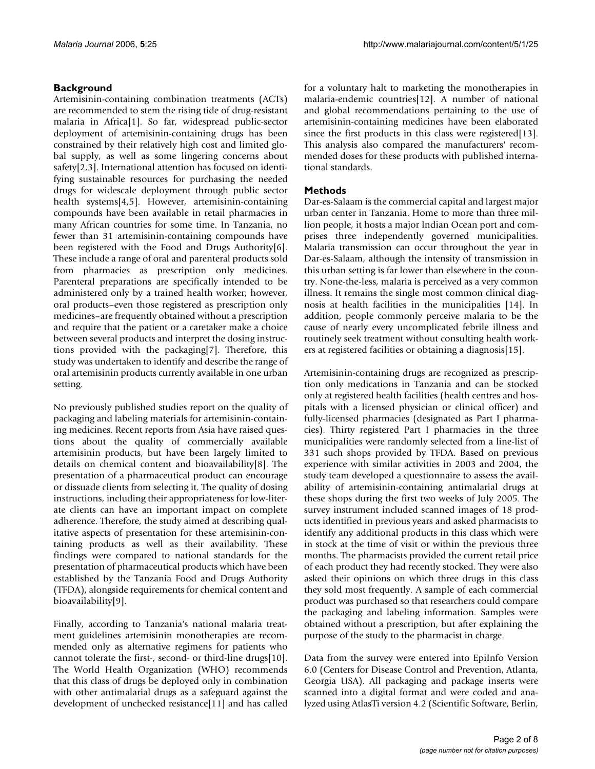# **Background**

Artemisinin-containing combination treatments (ACTs) are recommended to stem the rising tide of drug-resistant malaria in Africa[1]. So far, widespread public-sector deployment of artemisinin-containing drugs has been constrained by their relatively high cost and limited global supply, as well as some lingering concerns about safety[2,3]. International attention has focused on identifying sustainable resources for purchasing the needed drugs for widescale deployment through public sector health systems[4,5]. However, artemisinin-containing compounds have been available in retail pharmacies in many African countries for some time. In Tanzania, no fewer than 31 artemisinin-containing compounds have been registered with the Food and Drugs Authority[6]. These include a range of oral and parenteral products sold from pharmacies as prescription only medicines. Parenteral preparations are specifically intended to be administered only by a trained health worker; however, oral products–even those registered as prescription only medicines–are frequently obtained without a prescription and require that the patient or a caretaker make a choice between several products and interpret the dosing instructions provided with the packaging[7]. Therefore, this study was undertaken to identify and describe the range of oral artemisinin products currently available in one urban setting.

No previously published studies report on the quality of packaging and labeling materials for artemisinin-containing medicines. Recent reports from Asia have raised questions about the quality of commercially available artemisinin products, but have been largely limited to details on chemical content and bioavailability[8]. The presentation of a pharmaceutical product can encourage or dissuade clients from selecting it. The quality of dosing instructions, including their appropriateness for low-literate clients can have an important impact on complete adherence. Therefore, the study aimed at describing qualitative aspects of presentation for these artemisinin-containing products as well as their availability. These findings were compared to national standards for the presentation of pharmaceutical products which have been established by the Tanzania Food and Drugs Authority (TFDA), alongside requirements for chemical content and bioavailability[9].

Finally, according to Tanzania's national malaria treatment guidelines artemisinin monotherapies are recommended only as alternative regimens for patients who cannot tolerate the first-, second- or third-line drugs[10]. The World Health Organization (WHO) recommends that this class of drugs be deployed only in combination with other antimalarial drugs as a safeguard against the development of unchecked resistance[11] and has called

for a voluntary halt to marketing the monotherapies in malaria-endemic countries[12]. A number of national and global recommendations pertaining to the use of artemisinin-containing medicines have been elaborated since the first products in this class were registered[13]. This analysis also compared the manufacturers' recommended doses for these products with published international standards.

# **Methods**

Dar-es-Salaam is the commercial capital and largest major urban center in Tanzania. Home to more than three million people, it hosts a major Indian Ocean port and comprises three independently governed municipalities. Malaria transmission can occur throughout the year in Dar-es-Salaam, although the intensity of transmission in this urban setting is far lower than elsewhere in the country. None-the-less, malaria is perceived as a very common illness. It remains the single most common clinical diagnosis at health facilities in the municipalities [14]. In addition, people commonly perceive malaria to be the cause of nearly every uncomplicated febrile illness and routinely seek treatment without consulting health workers at registered facilities or obtaining a diagnosis[15].

Artemisinin-containing drugs are recognized as prescription only medications in Tanzania and can be stocked only at registered health facilities (health centres and hospitals with a licensed physician or clinical officer) and fully-licensed pharmacies (designated as Part I pharmacies). Thirty registered Part I pharmacies in the three municipalities were randomly selected from a line-list of 331 such shops provided by TFDA. Based on previous experience with similar activities in 2003 and 2004, the study team developed a questionnaire to assess the availability of artemisinin-containing antimalarial drugs at these shops during the first two weeks of July 2005. The survey instrument included scanned images of 18 products identified in previous years and asked pharmacists to identify any additional products in this class which were in stock at the time of visit or within the previous three months. The pharmacists provided the current retail price of each product they had recently stocked. They were also asked their opinions on which three drugs in this class they sold most frequently. A sample of each commercial product was purchased so that researchers could compare the packaging and labeling information. Samples were obtained without a prescription, but after explaining the purpose of the study to the pharmacist in charge.

Data from the survey were entered into EpiInfo Version 6.0 (Centers for Disease Control and Prevention, Atlanta, Georgia USA). All packaging and package inserts were scanned into a digital format and were coded and analyzed using AtlasTi version 4.2 (Scientific Software, Berlin,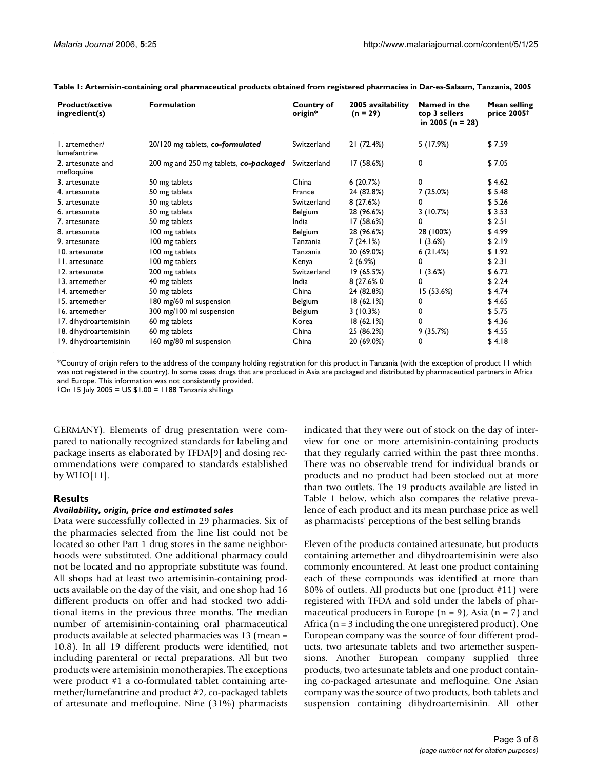| <b>Product/active</b><br>ingredient(s) | <b>Formulation</b>                     | Country of<br>origin* | 2005 availability<br>$(n = 29)$ | Named in the<br>top 3 sellers | Mean selling<br>price 2005 <sup>+</sup> |
|----------------------------------------|----------------------------------------|-----------------------|---------------------------------|-------------------------------|-----------------------------------------|
|                                        |                                        |                       |                                 | in 2005 ( $n = 28$ )          |                                         |
| I. artemether/<br>lumefantrine         | 20/120 mg tablets, co-formulated       | Switzerland           | 21 (72.4%)                      | 5 (17.9%)                     | \$7.59                                  |
| 2. artesunate and<br>mefloquine        | 200 mg and 250 mg tablets, co-packaged | Switzerland           | 17 (58.6%)                      | 0                             | \$7.05                                  |
| 3. artesunate                          | 50 mg tablets                          | China                 | 6(20.7%)                        | 0                             | \$4.62                                  |
| 4. artesunate                          | 50 mg tablets                          | France                | 24 (82.8%)                      | 7(25.0%)                      | \$5.48                                  |
| 5. artesunate                          | 50 mg tablets                          | Switzerland           | 8(27.6%)                        | 0                             | \$5.26                                  |
| 6. artesunate                          | 50 mg tablets                          | Belgium               | 28 (96.6%)                      | 3(10.7%)                      | \$3.53                                  |
| 7. artesunate                          | 50 mg tablets                          | India                 | 17(58.6%)                       | 0                             | \$2.51                                  |
| 8. artesunate                          | 100 mg tablets                         | Belgium               | 28 (96.6%)                      | 28 (100%)                     | \$4.99                                  |
| 9. artesunate                          | 100 mg tablets                         | Tanzania              | 7(24.1%)                        | 1(3.6%)                       | \$2.19                                  |
| 10. artesunate                         | 100 mg tablets                         | Tanzania              | 20 (69.0%)                      | 6(21.4%)                      | \$1.92                                  |
| II. artesunate                         | 100 mg tablets                         | Kenya                 | 2(6.9%)                         | 0                             | \$2.31                                  |
| 12. artesunate                         | 200 mg tablets                         | Switzerland           | 19 (65.5%)                      | (3.6%)                        | \$6.72                                  |
| 13. artemether                         | 40 mg tablets                          | India                 | 8 (27.6% 0                      | 0                             | \$2.24                                  |
| 14. artemether                         | 50 mg tablets                          | China                 | 24 (82.8%)                      | 15 (53.6%)                    | \$4.74                                  |
| 15. artemether                         | 180 mg/60 ml suspension                | Belgium               | 18(62.1%)                       | 0                             | \$4.65                                  |
| 16. artemether                         | 300 mg/100 ml suspension               | Belgium               | 3(10.3%)                        | 0                             | \$5.75                                  |
| 17. dihydroartemisinin                 | 60 mg tablets                          | Korea                 | 18(62.1%)                       | 0                             | \$4.36                                  |
| 18. dihydroartemisinin                 | 60 mg tablets                          | China                 | 25 (86.2%)                      | 9(35.7%)                      | \$4.55                                  |
| 19. dihydroartemisinin                 | 160 mg/80 ml suspension                | China                 | 20 (69.0%)                      | 0                             | \$4.18                                  |

**Table 1: Artemisin-containing oral pharmaceutical products obtained from registered pharmacies in Dar-es-Salaam, Tanzania, 2005**

\*Country of origin refers to the address of the company holding registration for this product in Tanzania (with the exception of product 11 which was not registered in the country). In some cases drugs that are produced in Asia are packaged and distributed by pharmaceutical partners in Africa and Europe. This information was not consistently provided.

†On 15 July 2005 = US \$1.00 = 1188 Tanzania shillings

GERMANY). Elements of drug presentation were compared to nationally recognized standards for labeling and package inserts as elaborated by TFDA[9] and dosing recommendations were compared to standards established by WHO[11].

#### **Results**

#### *Availability, origin, price and estimated sales*

Data were successfully collected in 29 pharmacies. Six of the pharmacies selected from the line list could not be located so other Part 1 drug stores in the same neighborhoods were substituted. One additional pharmacy could not be located and no appropriate substitute was found. All shops had at least two artemisinin-containing products available on the day of the visit, and one shop had 16 different products on offer and had stocked two additional items in the previous three months. The median number of artemisinin-containing oral pharmaceutical products available at selected pharmacies was 13 (mean = 10.8). In all 19 different products were identified, not including parenteral or rectal preparations. All but two products were artemisinin monotherapies. The exceptions were product #1 a co-formulated tablet containing artemether/lumefantrine and product #2, co-packaged tablets of artesunate and mefloquine. Nine (31%) pharmacists indicated that they were out of stock on the day of interview for one or more artemisinin-containing products that they regularly carried within the past three months. There was no observable trend for individual brands or products and no product had been stocked out at more than two outlets. The 19 products available are listed in Table 1 below, which also compares the relative prevalence of each product and its mean purchase price as well as pharmacists' perceptions of the best selling brands

Eleven of the products contained artesunate, but products containing artemether and dihydroartemisinin were also commonly encountered. At least one product containing each of these compounds was identified at more than 80% of outlets. All products but one (product #11) were registered with TFDA and sold under the labels of pharmaceutical producers in Europe  $(n = 9)$ , Asia  $(n = 7)$  and Africa (n = 3 including the one unregistered product). One European company was the source of four different products, two artesunate tablets and two artemether suspensions. Another European company supplied three products, two artesunate tablets and one product containing co-packaged artesunate and mefloquine. One Asian company was the source of two products, both tablets and suspension containing dihydroartemisinin. All other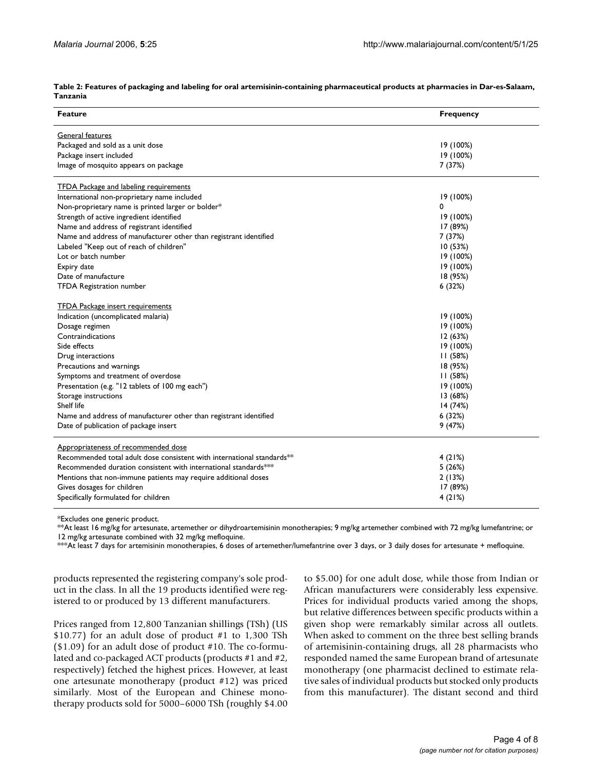**Table 2: Features of packaging and labeling for oral artemisinin-containing pharmaceutical products at pharmacies in Dar-es-Salaam, Tanzania**

| Feature                                                                            | <b>Frequency</b> |
|------------------------------------------------------------------------------------|------------------|
| General features                                                                   |                  |
| Packaged and sold as a unit dose                                                   | 19 (100%)        |
| Package insert included                                                            | 19 (100%)        |
| Image of mosquito appears on package                                               | 7 (37%)          |
| <b>TFDA Package and labeling requirements</b>                                      |                  |
| International non-proprietary name included                                        | 19 (100%)        |
| Non-proprietary name is printed larger or bolder*                                  | 0                |
| Strength of active ingredient identified                                           | 19 (100%)        |
| Name and address of registrant identified                                          | 17 (89%)         |
| Name and address of manufacturer other than registrant identified                  | 7 (37%)          |
| Labeled "Keep out of reach of children"                                            | 10(53%)          |
| Lot or batch number                                                                | 19 (100%)        |
| Expiry date                                                                        | 19 (100%)        |
| Date of manufacture                                                                | 18 (95%)         |
| TFDA Registration number                                                           | 6(32%)           |
| <b>TFDA Package insert requirements</b>                                            |                  |
| Indication (uncomplicated malaria)                                                 | 19 (100%)        |
| Dosage regimen                                                                     | 19 (100%)        |
| Contraindications                                                                  | 12(63%)          |
| Side effects                                                                       | 19 (100%)        |
| Drug interactions                                                                  | 11(58%)          |
| Precautions and warnings                                                           | 18 (95%)         |
| Symptoms and treatment of overdose                                                 | 11(58%)          |
| Presentation (e.g. "12 tablets of 100 mg each")                                    | 19 (100%)        |
| Storage instructions                                                               | 13(68%)          |
| Shelf life                                                                         | 14 (74%)         |
| Name and address of manufacturer other than registrant identified                  | 6(32%)           |
| Date of publication of package insert                                              | 9(47%)           |
| Appropriateness of recommended dose                                                |                  |
| Recommended total adult dose consistent with international standards <sup>**</sup> | 4(21%)           |
| Recommended duration consistent with international standards <sup>***</sup>        | 5(26%)           |
| Mentions that non-immune patients may require additional doses                     | 2(13%)           |
| Gives dosages for children                                                         | 17 (89%)         |
| Specifically formulated for children                                               | 4(21%)           |
|                                                                                    |                  |

\*Excludes one generic product.

\*\*At least 16 mg/kg for artesunate, artemether or dihydroartemisinin monotherapies; 9 mg/kg artemether combined with 72 mg/kg lumefantrine; or 12 mg/kg artesunate combined with 32 mg/kg mefloquine.

\*\*At least 7 days for artemisinin monotherapies, 6 doses of artemether/lumefantrine over 3 days, or 3 daily doses for artesunate + mefloquine.

products represented the registering company's sole product in the class. In all the 19 products identified were registered to or produced by 13 different manufacturers.

Prices ranged from 12,800 Tanzanian shillings (TSh) (US \$10.77) for an adult dose of product #1 to 1,300 TSh (\$1.09) for an adult dose of product #10. The co-formulated and co-packaged ACT products (products #1 and #2, respectively) fetched the highest prices. However, at least one artesunate monotherapy (product #12) was priced similarly. Most of the European and Chinese monotherapy products sold for 5000–6000 TSh (roughly \$4.00

to \$5.00) for one adult dose, while those from Indian or African manufacturers were considerably less expensive. Prices for individual products varied among the shops, but relative differences between specific products within a given shop were remarkably similar across all outlets. When asked to comment on the three best selling brands of artemisinin-containing drugs, all 28 pharmacists who responded named the same European brand of artesunate monotherapy (one pharmacist declined to estimate relative sales of individual products but stocked only products from this manufacturer). The distant second and third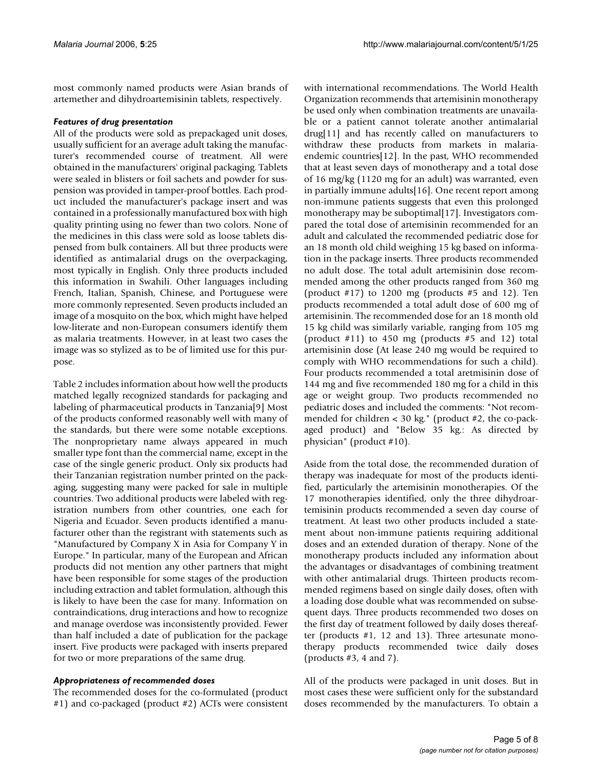most commonly named products were Asian brands of artemether and dihydroartemisinin tablets, respectively.

#### *Features of drug presentation*

All of the products were sold as prepackaged unit doses, usually sufficient for an average adult taking the manufacturer's recommended course of treatment. All were obtained in the manufacturers' original packaging. Tablets were sealed in blisters or foil sachets and powder for suspension was provided in tamper-proof bottles. Each product included the manufacturer's package insert and was contained in a professionally manufactured box with high quality printing using no fewer than two colors. None of the medicines in this class were sold as loose tablets dispensed from bulk containers. All but three products were identified as antimalarial drugs on the overpackaging, most typically in English. Only three products included this information in Swahili. Other languages including French, Italian, Spanish, Chinese, and Portuguese were more commonly represented. Seven products included an image of a mosquito on the box, which might have helped low-literate and non-European consumers identify them as malaria treatments. However, in at least two cases the image was so stylized as to be of limited use for this purpose.

Table 2 includes information about how well the products matched legally recognized standards for packaging and labeling of pharmaceutical products in Tanzania[9] Most of the products conformed reasonably well with many of the standards, but there were some notable exceptions. The nonproprietary name always appeared in much smaller type font than the commercial name, except in the case of the single generic product. Only six products had their Tanzanian registration number printed on the packaging, suggesting many were packed for sale in multiple countries. Two additional products were labeled with registration numbers from other countries, one each for Nigeria and Ecuador. Seven products identified a manufacturer other than the registrant with statements such as "Manufactured by Company X in Asia for Company Y in Europe." In particular, many of the European and African products did not mention any other partners that might have been responsible for some stages of the production including extraction and tablet formulation, although this is likely to have been the case for many. Information on contraindications, drug interactions and how to recognize and manage overdose was inconsistently provided. Fewer than half included a date of publication for the package insert. Five products were packaged with inserts prepared for two or more preparations of the same drug.

### *Appropriateness of recommended doses*

The recommended doses for the co-formulated (product #1) and co-packaged (product #2) ACTs were consistent

with international recommendations. The World Health Organization recommends that artemisinin monotherapy be used only when combination treatments are unavailable or a patient cannot tolerate another antimalarial drug[11] and has recently called on manufacturers to withdraw these products from markets in malariaendemic countries[12]. In the past, WHO recommended that at least seven days of monotherapy and a total dose of 16 mg/kg (1120 mg for an adult) was warranted, even in partially immune adults[16]. One recent report among non-immune patients suggests that even this prolonged monotherapy may be suboptimal[17]. Investigators compared the total dose of artemisinin recommended for an adult and calculated the recommended pediatric dose for an 18 month old child weighing 15 kg based on information in the package inserts. Three products recommended no adult dose. The total adult artemisinin dose recommended among the other products ranged from 360 mg (product #17) to 1200 mg (products #5 and 12). Ten products recommended a total adult dose of 600 mg of artemisinin. The recommended dose for an 18 month old 15 kg child was similarly variable, ranging from 105 mg (product #11) to 450 mg (products #5 and 12) total artemisinin dose (At lease 240 mg would be required to comply with WHO recommendations for such a child). Four products recommended a total aretmisinin dose of 144 mg and five recommended 180 mg for a child in this age or weight group. Two products recommended no pediatric doses and included the comments: "Not recommended for children < 30 kg." (product #2, the co-packaged product) and "Below 35 kg.: As directed by physician" (product #10).

Aside from the total dose, the recommended duration of therapy was inadequate for most of the products identified, particularly the artemisinin monotherapies. Of the 17 monotherapies identified, only the three dihydroartemisinin products recommended a seven day course of treatment. At least two other products included a statement about non-immune patients requiring additional doses and an extended duration of therapy. None of the monotherapy products included any information about the advantages or disadvantages of combining treatment with other antimalarial drugs. Thirteen products recommended regimens based on single daily doses, often with a loading dose double what was recommended on subsequent days. Three products recommended two doses on the first day of treatment followed by daily doses thereafter (products #1, 12 and 13). Three artesunate monotherapy products recommended twice daily doses (products #3, 4 and 7).

All of the products were packaged in unit doses. But in most cases these were sufficient only for the substandard doses recommended by the manufacturers. To obtain a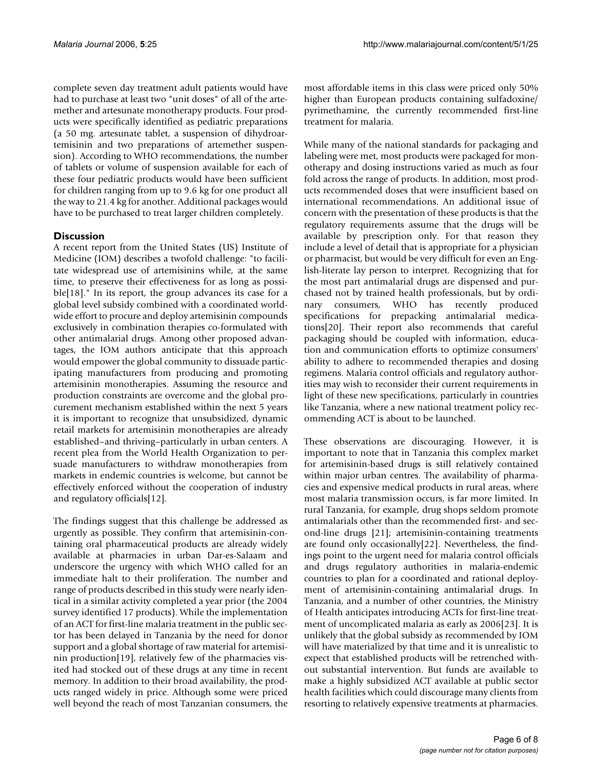complete seven day treatment adult patients would have had to purchase at least two "unit doses" of all of the artemether and artesunate monotherapy products. Four products were specifically identified as pediatric preparations (a 50 mg. artesunate tablet, a suspension of dihydroartemisinin and two preparations of artemether suspension). According to WHO recommendations, the number of tablets or volume of suspension available for each of these four pediatric products would have been sufficient for children ranging from up to 9.6 kg for one product all the way to 21.4 kg for another. Additional packages would have to be purchased to treat larger children completely.

# **Discussion**

A recent report from the United States (US) Institute of Medicine (IOM) describes a twofold challenge: "to facilitate widespread use of artemisinins while, at the same time, to preserve their effectiveness for as long as possible[18]." In its report, the group advances its case for a global level subsidy combined with a coordinated worldwide effort to procure and deploy artemisinin compounds exclusively in combination therapies co-formulated with other antimalarial drugs. Among other proposed advantages, the IOM authors anticipate that this approach would empower the global community to dissuade participating manufacturers from producing and promoting artemisinin monotherapies. Assuming the resource and production constraints are overcome and the global procurement mechanism established within the next 5 years it is important to recognize that unsubsidized, dynamic retail markets for artemisinin monotherapies are already established–and thriving–particularly in urban centers. A recent plea from the World Health Organization to persuade manufacturers to withdraw monotherapies from markets in endemic countries is welcome, but cannot be effectively enforced without the cooperation of industry and regulatory officials[12].

The findings suggest that this challenge be addressed as urgently as possible. They confirm that artemisinin-containing oral pharmaceutical products are already widely available at pharmacies in urban Dar-es-Salaam and underscore the urgency with which WHO called for an immediate halt to their proliferation. The number and range of products described in this study were nearly identical in a similar activity completed a year prior (the 2004 survey identified 17 products). While the implementation of an ACT for first-line malaria treatment in the public sector has been delayed in Tanzania by the need for donor support and a global shortage of raw material for artemisinin production[19], relatively few of the pharmacies visited had stocked out of these drugs at any time in recent memory. In addition to their broad availability, the products ranged widely in price. Although some were priced well beyond the reach of most Tanzanian consumers, the most affordable items in this class were priced only 50% higher than European products containing sulfadoxine pyrimethamine, the currently recommended first-line treatment for malaria.

While many of the national standards for packaging and labeling were met, most products were packaged for monotherapy and dosing instructions varied as much as four fold across the range of products. In addition, most products recommended doses that were insufficient based on international recommendations. An additional issue of concern with the presentation of these products is that the regulatory requirements assume that the drugs will be available by prescription only. For that reason they include a level of detail that is appropriate for a physician or pharmacist, but would be very difficult for even an English-literate lay person to interpret. Recognizing that for the most part antimalarial drugs are dispensed and purchased not by trained health professionals, but by ordinary consumers, WHO has recently produced specifications for prepacking antimalarial medications[20]. Their report also recommends that careful packaging should be coupled with information, education and communication efforts to optimize consumers' ability to adhere to recommended therapies and dosing regimens. Malaria control officials and regulatory authorities may wish to reconsider their current requirements in light of these new specifications, particularly in countries like Tanzania, where a new national treatment policy recommending ACT is about to be launched.

These observations are discouraging. However, it is important to note that in Tanzania this complex market for artemisinin-based drugs is still relatively contained within major urban centres. The availability of pharmacies and expensive medical products in rural areas, where most malaria transmission occurs, is far more limited. In rural Tanzania, for example, drug shops seldom promote antimalarials other than the recommended first- and second-line drugs [21]; artemisinin-containing treatments are found only occasionally[22]. Nevertheless, the findings point to the urgent need for malaria control officials and drugs regulatory authorities in malaria-endemic countries to plan for a coordinated and rational deployment of artemisinin-containing antimalarial drugs. In Tanzania, and a number of other countries, the Ministry of Health anticipates introducing ACTs for first-line treatment of uncomplicated malaria as early as 2006[23]. It is unlikely that the global subsidy as recommended by IOM will have materialized by that time and it is unrealistic to expect that established products will be retrenched without substantial intervention. But funds are available to make a highly subsidized ACT available at public sector health facilities which could discourage many clients from resorting to relatively expensive treatments at pharmacies.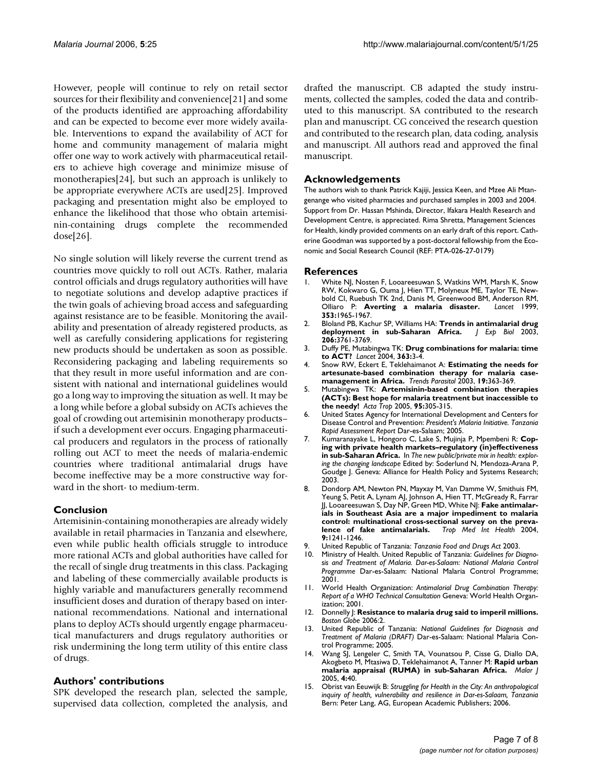However, people will continue to rely on retail sector sources for their flexibility and convenience[21] and some of the products identified are approaching affordability and can be expected to become ever more widely available. Interventions to expand the availability of ACT for home and community management of malaria might offer one way to work actively with pharmaceutical retailers to achieve high coverage and minimize misuse of monotherapies[24], but such an approach is unlikely to be appropriate everywhere ACTs are used[25]. Improved packaging and presentation might also be employed to enhance the likelihood that those who obtain artemisinin-containing drugs complete the recommended dose[26].

No single solution will likely reverse the current trend as countries move quickly to roll out ACTs. Rather, malaria control officials and drugs regulatory authorities will have to negotiate solutions and develop adaptive practices if the twin goals of achieving broad access and safeguarding against resistance are to be feasible. Monitoring the availability and presentation of already registered products, as well as carefully considering applications for registering new products should be undertaken as soon as possible. Reconsidering packaging and labeling requirements so that they result in more useful information and are consistent with national and international guidelines would go a long way to improving the situation as well. It may be a long while before a global subsidy on ACTs achieves the goal of crowding out artemisinin monotherapy products– if such a development ever occurs. Engaging pharmaceutical producers and regulators in the process of rationally rolling out ACT to meet the needs of malaria-endemic countries where traditional antimalarial drugs have become ineffective may be a more constructive way forward in the short- to medium-term.

# **Conclusion**

Artemisinin-containing monotherapies are already widely available in retail pharmacies in Tanzania and elsewhere, even while public health officials struggle to introduce more rational ACTs and global authorities have called for the recall of single drug treatments in this class. Packaging and labeling of these commercially available products is highly variable and manufacturers generally recommend insufficient doses and duration of therapy based on international recommendations. National and international plans to deploy ACTs should urgently engage pharmaceutical manufacturers and drugs regulatory authorities or risk undermining the long term utility of this entire class of drugs.

# **Authors' contributions**

SPK developed the research plan, selected the sample, supervised data collection, completed the analysis, and drafted the manuscript. CB adapted the study instruments, collected the samples, coded the data and contributed to this manuscript. SA contributed to the research plan and manuscript. CG conceived the research question and contributed to the research plan, data coding, analysis and manuscript. All authors read and approved the final manuscript.

## **Acknowledgements**

The authors wish to thank Patrick Kajiji, Jessica Keen, and Mzee Ali Mtangenange who visited pharmacies and purchased samples in 2003 and 2004. Support from Dr. Hassan Mshinda, Director, Ifakara Health Research and Development Centre, is appreciated. Rima Shretta, Management Sciences for Health, kindly provided comments on an early draft of this report. Catherine Goodman was supported by a post-doctoral fellowship from the Economic and Social Research Council (REF: PTA-026-27-0179)

#### **References**

- 1. White NJ, Nosten F, Looareesuwan S, Watkins WM, Marsh K, Snow RW, Kokwaro G, Ouma J, Hien TT, Molyneux ME, Taylor TE, Newbold CI, Ruebush TK 2nd, Danis M, Greenwood BM, Anderson RM, Olliaro P: **[Averting a malaria disaster.](http://www.ncbi.nlm.nih.gov/entrez/query.fcgi?cmd=Retrieve&db=PubMed&dopt=Abstract&list_uids=10371589)** *Lancet* 1999, **353:**1965-1967.
- 2. Bloland PB, Kachur SP, Williams HA: **[Trends in antimalarial drug](http://www.ncbi.nlm.nih.gov/entrez/query.fcgi?cmd=Retrieve&db=PubMed&dopt=Abstract&list_uids=14506211) [deployment in sub-Saharan Africa.](http://www.ncbi.nlm.nih.gov/entrez/query.fcgi?cmd=Retrieve&db=PubMed&dopt=Abstract&list_uids=14506211)** *J Exp Biol* 2003, **206:**3761-3769.
- 3. Duffy PE, Mutabingwa TK: **[Drug combinations for malaria: time](http://www.ncbi.nlm.nih.gov/entrez/query.fcgi?cmd=Retrieve&db=PubMed&dopt=Abstract&list_uids=14723982) [to ACT?](http://www.ncbi.nlm.nih.gov/entrez/query.fcgi?cmd=Retrieve&db=PubMed&dopt=Abstract&list_uids=14723982)** *Lancet* 2004, **363:**3-4.
- 4. Snow RW, Eckert E, Teklehaimanot A: **[Estimating the needs for](http://www.ncbi.nlm.nih.gov/entrez/query.fcgi?cmd=Retrieve&db=PubMed&dopt=Abstract&list_uids=12901938) [artesunate-based combination therapy for malaria case](http://www.ncbi.nlm.nih.gov/entrez/query.fcgi?cmd=Retrieve&db=PubMed&dopt=Abstract&list_uids=12901938)[management in Africa.](http://www.ncbi.nlm.nih.gov/entrez/query.fcgi?cmd=Retrieve&db=PubMed&dopt=Abstract&list_uids=12901938)** *Trends Parasitol* 2003, **19:**363-369.
- 5. Mutabingwa TK: **[Artemisinin-based combination therapies](http://www.ncbi.nlm.nih.gov/entrez/query.fcgi?cmd=Retrieve&db=PubMed&dopt=Abstract&list_uids=16098946) [\(ACTs\): Best hope for malaria treatment but inaccessible to](http://www.ncbi.nlm.nih.gov/entrez/query.fcgi?cmd=Retrieve&db=PubMed&dopt=Abstract&list_uids=16098946) [the needy!](http://www.ncbi.nlm.nih.gov/entrez/query.fcgi?cmd=Retrieve&db=PubMed&dopt=Abstract&list_uids=16098946)** *Acta Trop* 2005, **95:**305-315.
- 6. United States Agency for International Development and Centers for Disease Control and Prevention: *President's Malaria Initiative. Tanzania Rapid Assessment Report* Dar-es-Salaam; 2005.
- 7. Kumaranayake L, Hongoro C, Lake S, Mujinja P, Mpembeni R: **Coping with private health markets–regulatory (in)effectiveness in sub-Saharan Africa.** In *The new public/private mix in health: exploring the changing landscape* Edited by: Soderlund N, Mendoza-Arana P, Goudge J. Geneva: Alliance for Health Policy and Systems Research; 2003.
- 8. Dondorp AM, Newton PN, Mayxay M, Van Damme W, Smithuis FM, Yeung S, Petit A, Lynam AJ, Johnson A, Hien TT, McGready R, Farrar JJ, Looareesuwan S, Day NP, Green MD, White NJ: **[Fake antimalar](http://www.ncbi.nlm.nih.gov/entrez/query.fcgi?cmd=Retrieve&db=PubMed&dopt=Abstract&list_uids=15598255)ials in Southeast Asia are a major impediment to malaria** control: multinational cross-sectional survey on the preva-<br>lence of fake antimalarials. Trop Med Int Health 2004,  $I$ ence of fake antimalarials. **9:**1241-1246.
- 9. United Republic of Tanzania: *Tanzania Food and Drugs Act* 2003.
- 10. Ministry of Health. United Republic of Tanzania: *Guidelines for Diagnosis and Treatment of Malaria. Dar-es-Salaam: National Malaria Control Programme* Dar-es-Salaam: National Malaria Control Programme; 2001.
- 11. World Health Organization: *Antimalarial Drug Combination Therapy: Report of a WHO Technical Consultation* Geneva: World Health Organization; 2001.
- 12. Donnelly J: **Resistance to malaria drug said to imperil millions.** *Boston Globe* 2006:2.
- 13. United Republic of Tanzania: *National Guidelines for Diagnosis and Treatment of Malaria (DRAFT)* Dar-es-Salaam: National Malaria Control Programme; 2005.
- 14. Wang SJ, Lengeler C, Smith TA, Vounatsou P, Cisse G, Diallo DA, Akogbeto M, Mtasiwa D, Teklehaimanot A, Tanner M: **[Rapid urban](http://www.ncbi.nlm.nih.gov/entrez/query.fcgi?cmd=Retrieve&db=PubMed&dopt=Abstract&list_uids=16153298) [malaria appraisal \(RUMA\) in sub-Saharan Africa.](http://www.ncbi.nlm.nih.gov/entrez/query.fcgi?cmd=Retrieve&db=PubMed&dopt=Abstract&list_uids=16153298)** *Malar J* 2005, **4:**40.
- 15. Obrist van Eeuwijk B: *Struggling for Health in the City: An anthropological inquiry of health, vulnerability and resilience in Dar-es-Salaam, Tanzania* Bern: Peter Lang, AG, European Academic Publishers; 2006.